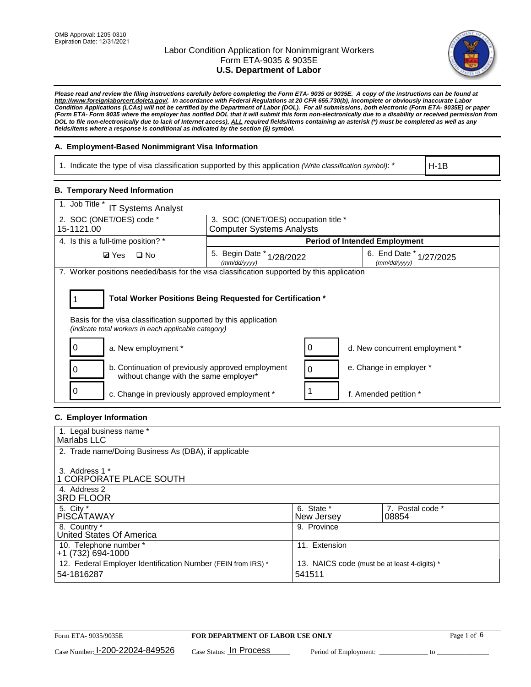

*Please read and review the filing instructions carefully before completing the Form ETA- 9035 or 9035E. A copy of the instructions can be found at http://www.foreignlaborcert.doleta.gov/. In accordance with Federal Regulations at 20 CFR 655.730(b), incomplete or obviously inaccurate Labor Condition Applications (LCAs) will not be certified by the Department of Labor (DOL). For all submissions, both electronic (Form ETA- 9035E) or paper (Form ETA- Form 9035 where the employer has notified DOL that it will submit this form non-electronically due to a disability or received permission from DOL to file non-electronically due to lack of Internet access), ALL required fields/items containing an asterisk (\*) must be completed as well as any fields/items where a response is conditional as indicated by the section (§) symbol.* 

# **A. Employment-Based Nonimmigrant Visa Information**

1. Indicate the type of visa classification supported by this application *(Write classification symbol)*: \*

H-1B

# **B. Temporary Need Information**

| 1. Job Title *<br><b>IT Systems Analyst</b>                                                                                                                                           |                                                                          |                                      |           |  |  |  |
|---------------------------------------------------------------------------------------------------------------------------------------------------------------------------------------|--------------------------------------------------------------------------|--------------------------------------|-----------|--|--|--|
| 2. SOC (ONET/OES) code *<br>15-1121.00                                                                                                                                                | 3. SOC (ONET/OES) occupation title *<br><b>Computer Systems Analysts</b> |                                      |           |  |  |  |
|                                                                                                                                                                                       |                                                                          |                                      |           |  |  |  |
| 4. Is this a full-time position? *                                                                                                                                                    |                                                                          | <b>Period of Intended Employment</b> |           |  |  |  |
| <b>Ø</b> Yes<br>$\Box$ No                                                                                                                                                             | 5. Begin Date $*_{1/28/2022}$<br>(mm/dd/yyyy)                            | 6. End Date *<br>(mm/dd/yyyy)        | 1/27/2025 |  |  |  |
| 7. Worker positions needed/basis for the visa classification supported by this application                                                                                            |                                                                          |                                      |           |  |  |  |
| Total Worker Positions Being Requested for Certification *<br>Basis for the visa classification supported by this application<br>(indicate total workers in each applicable category) |                                                                          |                                      |           |  |  |  |
| a. New employment *                                                                                                                                                                   |                                                                          | d. New concurrent employment *       |           |  |  |  |
| b. Continuation of previously approved employment<br>0<br>without change with the same employer*                                                                                      |                                                                          | e. Change in employer *<br>$\Omega$  |           |  |  |  |
| 0<br>c. Change in previously approved employment *                                                                                                                                    |                                                                          | f. Amended petition *                |           |  |  |  |

### **C. Employer Information**

| 1. Legal business name *                                                   |                                                        |                           |
|----------------------------------------------------------------------------|--------------------------------------------------------|---------------------------|
| Marlabs LLC                                                                |                                                        |                           |
| 2. Trade name/Doing Business As (DBA), if applicable                       |                                                        |                           |
| 3. Address 1 *<br>1 CORPORATE PLACE SOUTH<br>4. Address 2                  |                                                        |                           |
| <b>3RD FLOOR</b>                                                           |                                                        |                           |
| 5. City *<br><b>PISCÁTAWAY</b>                                             | 6. State *<br>New Jersey                               | 7. Postal code *<br>08854 |
| 8. Country *<br>United States Of America                                   | 9. Province                                            |                           |
| 10. Telephone number *<br>$+1(732)694-1000$                                | 11. Extension                                          |                           |
| 12. Federal Employer Identification Number (FEIN from IRS) *<br>54-1816287 | 13. NAICS code (must be at least 4-digits) *<br>541511 |                           |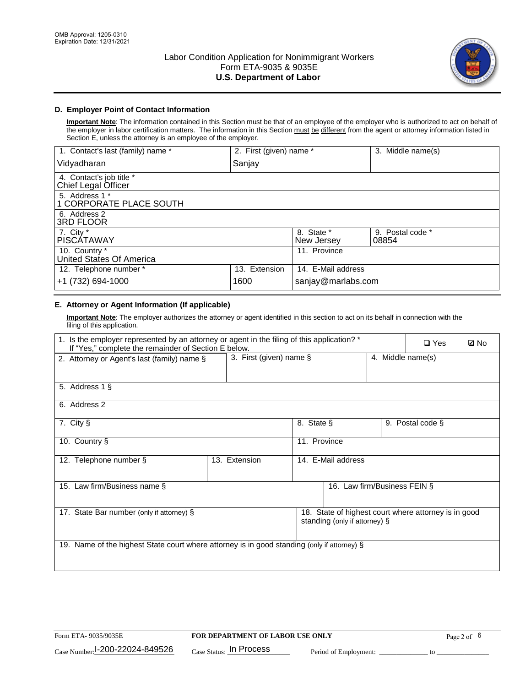

# **D. Employer Point of Contact Information**

**Important Note**: The information contained in this Section must be that of an employee of the employer who is authorized to act on behalf of the employer in labor certification matters. The information in this Section must be different from the agent or attorney information listed in Section E, unless the attorney is an employee of the employer.

| 1. Contact's last (family) name *               | 2. First (given) name * |                          | 3. Middle name(s)         |
|-------------------------------------------------|-------------------------|--------------------------|---------------------------|
| Vidyadharan                                     | Sanjay                  |                          |                           |
| 4. Contact's job title *<br>Chief Legal Officer |                         |                          |                           |
| 5. Address 1 *<br>1 CORPORATE PLACE SOUTH       |                         |                          |                           |
| 6. Address 2<br>3RD FLOOR                       |                         |                          |                           |
| 7. City $*$<br><b>PISCÁTAWAY</b>                |                         | 8. State *<br>New Jersey | 9. Postal code *<br>08854 |
| 10. Country *<br>United States Of America       |                         | 11. Province             |                           |
| 12. Telephone number *                          | 13. Extension           | 14. E-Mail address       |                           |
| +1 (732) 694-1000                               | 1600                    | sanjay@marlabs.com       |                           |

# **E. Attorney or Agent Information (If applicable)**

**Important Note**: The employer authorizes the attorney or agent identified in this section to act on its behalf in connection with the filing of this application.

| 1. Is the employer represented by an attorney or agent in the filing of this application? *<br>If "Yes," complete the remainder of Section E below. |                         | $\square$ Yes     | <b>ØNo</b>                    |  |                                                      |  |
|-----------------------------------------------------------------------------------------------------------------------------------------------------|-------------------------|-------------------|-------------------------------|--|------------------------------------------------------|--|
| 2. Attorney or Agent's last (family) name §                                                                                                         | 3. First (given) name § | 4. Middle name(s) |                               |  |                                                      |  |
| 5. Address 1 §                                                                                                                                      |                         |                   |                               |  |                                                      |  |
| 6. Address 2                                                                                                                                        |                         |                   |                               |  |                                                      |  |
| 7. City §                                                                                                                                           |                         | 8. State §        |                               |  | 9. Postal code §                                     |  |
| 10. Country §                                                                                                                                       |                         | 11. Province      |                               |  |                                                      |  |
| 12. Telephone number §                                                                                                                              | 13. Extension           |                   | 14. E-Mail address            |  |                                                      |  |
| 15. Law firm/Business name §                                                                                                                        |                         |                   | 16. Law firm/Business FEIN §  |  |                                                      |  |
| 17. State Bar number (only if attorney) §                                                                                                           |                         |                   | standing (only if attorney) § |  | 18. State of highest court where attorney is in good |  |
| 19. Name of the highest State court where attorney is in good standing (only if attorney) §                                                         |                         |                   |                               |  |                                                      |  |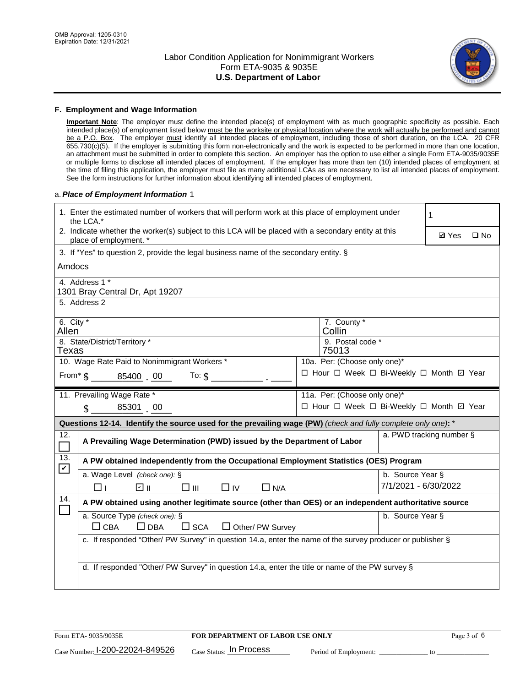

#### **F. Employment and Wage Information**

**Important Note**: The employer must define the intended place(s) of employment with as much geographic specificity as possible. Each intended place(s) of employment listed below must be the worksite or physical location where the work will actually be performed and cannot be a P.O. Box. The employer must identify all intended places of employment, including those of short duration, on the LCA. 20 CFR 655.730(c)(5). If the employer is submitting this form non-electronically and the work is expected to be performed in more than one location, an attachment must be submitted in order to complete this section. An employer has the option to use either a single Form ETA-9035/9035E or multiple forms to disclose all intended places of employment. If the employer has more than ten (10) intended places of employment at the time of filing this application, the employer must file as many additional LCAs as are necessary to list all intended places of employment. See the form instructions for further information about identifying all intended places of employment.

#### a.*Place of Employment Information* 1

|                                                                              | 1. Enter the estimated number of workers that will perform work at this place of employment under<br>the LCA.*                 |  |                                          |                  |                          |              |  |
|------------------------------------------------------------------------------|--------------------------------------------------------------------------------------------------------------------------------|--|------------------------------------------|------------------|--------------------------|--------------|--|
|                                                                              | 2. Indicate whether the worker(s) subject to this LCA will be placed with a secondary entity at this<br>place of employment. * |  |                                          |                  | <b>Ø</b> Yes             | $\square$ No |  |
|                                                                              | 3. If "Yes" to question 2, provide the legal business name of the secondary entity. §                                          |  |                                          |                  |                          |              |  |
| Amdocs                                                                       |                                                                                                                                |  |                                          |                  |                          |              |  |
|                                                                              | 4. Address 1 *<br>1301 Bray Central Dr, Apt 19207                                                                              |  |                                          |                  |                          |              |  |
|                                                                              | 5. Address 2                                                                                                                   |  |                                          |                  |                          |              |  |
| Allen                                                                        | 6. City $*$<br>7. County *<br>Collin                                                                                           |  |                                          |                  |                          |              |  |
|                                                                              | 8. State/District/Territory *<br>9. Postal code *<br>Texas<br>75013                                                            |  |                                          |                  |                          |              |  |
| 10. Wage Rate Paid to Nonimmigrant Workers *<br>10a. Per: (Choose only one)* |                                                                                                                                |  |                                          |                  |                          |              |  |
|                                                                              | □ Hour □ Week □ Bi-Weekly □ Month ☑ Year<br>From $\frac{1}{5}$ 85400 00 To: $\frac{1}{5}$                                      |  |                                          |                  |                          |              |  |
|                                                                              | 11. Prevailing Wage Rate *                                                                                                     |  | 11a. Per: (Choose only one)*             |                  |                          |              |  |
|                                                                              | 85301 00<br>$\mathcal{S}$                                                                                                      |  | □ Hour □ Week □ Bi-Weekly □ Month ☑ Year |                  |                          |              |  |
|                                                                              | Questions 12-14. Identify the source used for the prevailing wage (PW) (check and fully complete only one): *                  |  |                                          |                  |                          |              |  |
| 12.<br>$\Box$                                                                | A Prevailing Wage Determination (PWD) issued by the Department of Labor                                                        |  |                                          |                  | a. PWD tracking number § |              |  |
| 13.<br>$\mathbf v$                                                           | A PW obtained independently from the Occupational Employment Statistics (OES) Program                                          |  |                                          |                  |                          |              |  |
|                                                                              | a. Wage Level (check one): §                                                                                                   |  |                                          | b. Source Year § |                          |              |  |
|                                                                              | பெ<br>$\square$ $\square$<br>□⊥<br>$\Box$ IV<br>$\Box$ N/A                                                                     |  |                                          |                  | 7/1/2021 - 6/30/2022     |              |  |
| 14.                                                                          | A PW obtained using another legitimate source (other than OES) or an independent authoritative source                          |  |                                          |                  |                          |              |  |
|                                                                              | a. Source Type (check one): §<br>$\Box$ CBA<br>$\Box$ DBA<br>$\square$ SCA<br>$\Box$ Other/ PW Survey                          |  |                                          | b. Source Year § |                          |              |  |
|                                                                              | c. If responded "Other/ PW Survey" in question 14.a, enter the name of the survey producer or publisher §                      |  |                                          |                  |                          |              |  |
|                                                                              | d. If responded "Other/ PW Survey" in question 14.a, enter the title or name of the PW survey §                                |  |                                          |                  |                          |              |  |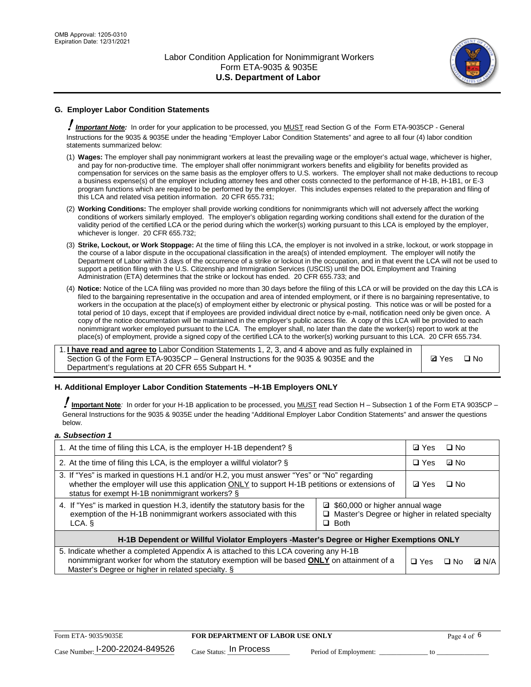

# **G. Employer Labor Condition Statements**

! *Important Note:* In order for your application to be processed, you MUST read Section G of the Form ETA-9035CP - General Instructions for the 9035 & 9035E under the heading "Employer Labor Condition Statements" and agree to all four (4) labor condition statements summarized below:

- (1) **Wages:** The employer shall pay nonimmigrant workers at least the prevailing wage or the employer's actual wage, whichever is higher, and pay for non-productive time. The employer shall offer nonimmigrant workers benefits and eligibility for benefits provided as compensation for services on the same basis as the employer offers to U.S. workers. The employer shall not make deductions to recoup a business expense(s) of the employer including attorney fees and other costs connected to the performance of H-1B, H-1B1, or E-3 program functions which are required to be performed by the employer. This includes expenses related to the preparation and filing of this LCA and related visa petition information. 20 CFR 655.731;
- (2) **Working Conditions:** The employer shall provide working conditions for nonimmigrants which will not adversely affect the working conditions of workers similarly employed. The employer's obligation regarding working conditions shall extend for the duration of the validity period of the certified LCA or the period during which the worker(s) working pursuant to this LCA is employed by the employer, whichever is longer. 20 CFR 655.732;
- (3) **Strike, Lockout, or Work Stoppage:** At the time of filing this LCA, the employer is not involved in a strike, lockout, or work stoppage in the course of a labor dispute in the occupational classification in the area(s) of intended employment. The employer will notify the Department of Labor within 3 days of the occurrence of a strike or lockout in the occupation, and in that event the LCA will not be used to support a petition filing with the U.S. Citizenship and Immigration Services (USCIS) until the DOL Employment and Training Administration (ETA) determines that the strike or lockout has ended. 20 CFR 655.733; and
- (4) **Notice:** Notice of the LCA filing was provided no more than 30 days before the filing of this LCA or will be provided on the day this LCA is filed to the bargaining representative in the occupation and area of intended employment, or if there is no bargaining representative, to workers in the occupation at the place(s) of employment either by electronic or physical posting. This notice was or will be posted for a total period of 10 days, except that if employees are provided individual direct notice by e-mail, notification need only be given once. A copy of the notice documentation will be maintained in the employer's public access file. A copy of this LCA will be provided to each nonimmigrant worker employed pursuant to the LCA. The employer shall, no later than the date the worker(s) report to work at the place(s) of employment, provide a signed copy of the certified LCA to the worker(s) working pursuant to this LCA. 20 CFR 655.734.

1. **I have read and agree to** Labor Condition Statements 1, 2, 3, and 4 above and as fully explained in Section G of the Form ETA-9035CP – General Instructions for the 9035 & 9035E and the Department's regulations at 20 CFR 655 Subpart H. \*

**Ø**Yes ロNo

### **H. Additional Employer Labor Condition Statements –H-1B Employers ONLY**

!**Important Note***:* In order for your H-1B application to be processed, you MUST read Section H – Subsection 1 of the Form ETA 9035CP – General Instructions for the 9035 & 9035E under the heading "Additional Employer Labor Condition Statements" and answer the questions below.

#### *a. Subsection 1*

| 1. At the time of filing this LCA, is the employer H-1B dependent? §                                                                                                                                                                                            | ⊡ Yes | □ No       |           |              |
|-----------------------------------------------------------------------------------------------------------------------------------------------------------------------------------------------------------------------------------------------------------------|-------|------------|-----------|--------------|
| 2. At the time of filing this LCA, is the employer a willful violator? $\S$                                                                                                                                                                                     |       | $\Box$ Yes | ⊡ No      |              |
| 3. If "Yes" is marked in questions H.1 and/or H.2, you must answer "Yes" or "No" regarding<br>whether the employer will use this application ONLY to support H-1B petitions or extensions of<br>status for exempt H-1B nonimmigrant workers? §                  |       |            | $\Box$ No |              |
| 4. If "Yes" is marked in question H.3, identify the statutory basis for the<br>■ \$60,000 or higher annual wage<br>exemption of the H-1B nonimmigrant workers associated with this<br>□ Master's Degree or higher in related specialty<br>$\Box$ Both<br>LCA. § |       |            |           |              |
| H-1B Dependent or Willful Violator Employers -Master's Degree or Higher Exemptions ONLY                                                                                                                                                                         |       |            |           |              |
| 5. Indicate whether a completed Appendix A is attached to this LCA covering any H-1B<br>nonimmigrant worker for whom the statutory exemption will be based <b>ONLY</b> on attainment of a<br>Master's Degree or higher in related specialty. §                  |       |            | ⊡ No      | <b>Q</b> N/A |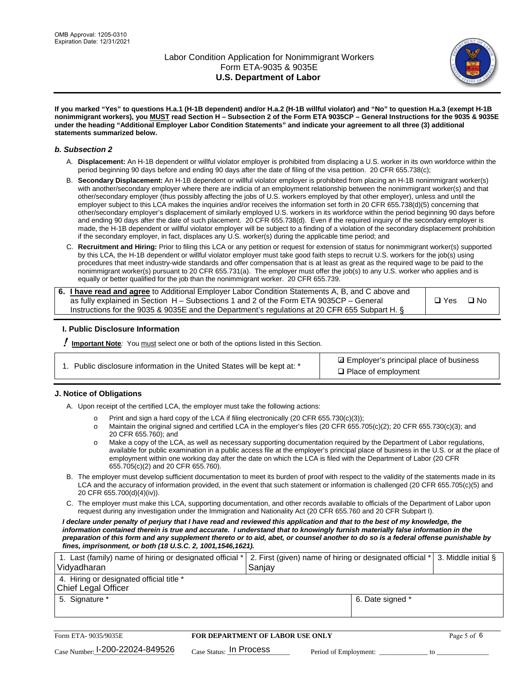

**If you marked "Yes" to questions H.a.1 (H-1B dependent) and/or H.a.2 (H-1B willful violator) and "No" to question H.a.3 (exempt H-1B nonimmigrant workers), you MUST read Section H – Subsection 2 of the Form ETA 9035CP – General Instructions for the 9035 & 9035E under the heading "Additional Employer Labor Condition Statements" and indicate your agreement to all three (3) additional statements summarized below.**

#### *b. Subsection 2*

- A. **Displacement:** An H-1B dependent or willful violator employer is prohibited from displacing a U.S. worker in its own workforce within the period beginning 90 days before and ending 90 days after the date of filing of the visa petition. 20 CFR 655.738(c);
- B. **Secondary Displacement:** An H-1B dependent or willful violator employer is prohibited from placing an H-1B nonimmigrant worker(s) with another/secondary employer where there are indicia of an employment relationship between the nonimmigrant worker(s) and that other/secondary employer (thus possibly affecting the jobs of U.S. workers employed by that other employer), unless and until the employer subject to this LCA makes the inquiries and/or receives the information set forth in 20 CFR 655.738(d)(5) concerning that other/secondary employer's displacement of similarly employed U.S. workers in its workforce within the period beginning 90 days before and ending 90 days after the date of such placement. 20 CFR 655.738(d). Even if the required inquiry of the secondary employer is made, the H-1B dependent or willful violator employer will be subject to a finding of a violation of the secondary displacement prohibition if the secondary employer, in fact, displaces any U.S. worker(s) during the applicable time period; and
- C. **Recruitment and Hiring:** Prior to filing this LCA or any petition or request for extension of status for nonimmigrant worker(s) supported by this LCA, the H-1B dependent or willful violator employer must take good faith steps to recruit U.S. workers for the job(s) using procedures that meet industry-wide standards and offer compensation that is at least as great as the required wage to be paid to the nonimmigrant worker(s) pursuant to 20 CFR 655.731(a). The employer must offer the job(s) to any U.S. worker who applies and is equally or better qualified for the job than the nonimmigrant worker. 20 CFR 655.739.

| 6. I have read and agree to Additional Employer Labor Condition Statements A, B, and C above and |       |           |
|--------------------------------------------------------------------------------------------------|-------|-----------|
| as fully explained in Section H – Subsections 1 and 2 of the Form ETA 9035CP – General           | □ Yes | $\Box$ No |
| Instructions for the 9035 & 9035E and the Department's regulations at 20 CFR 655 Subpart H. §    |       |           |

### **I. Public Disclosure Information**

! **Important Note***:* You must select one or both of the options listed in this Section.

|  | 1. Public disclosure information in the United States will be kept at: * |  |  |  |
|--|--------------------------------------------------------------------------|--|--|--|
|  |                                                                          |  |  |  |

**sqrt** Employer's principal place of business □ Place of employment

### **J. Notice of Obligations**

A. Upon receipt of the certified LCA, the employer must take the following actions:

- o Print and sign a hard copy of the LCA if filing electronically (20 CFR 655.730(c)(3));<br>
Maintain the original signed and certified LCA in the employer's files (20 CFR 655.7
- Maintain the original signed and certified LCA in the employer's files (20 CFR 655.705(c)(2); 20 CFR 655.730(c)(3); and 20 CFR 655.760); and
- o Make a copy of the LCA, as well as necessary supporting documentation required by the Department of Labor regulations, available for public examination in a public access file at the employer's principal place of business in the U.S. or at the place of employment within one working day after the date on which the LCA is filed with the Department of Labor (20 CFR 655.705(c)(2) and 20 CFR 655.760).
- B. The employer must develop sufficient documentation to meet its burden of proof with respect to the validity of the statements made in its LCA and the accuracy of information provided, in the event that such statement or information is challenged (20 CFR 655.705(c)(5) and 20 CFR 655.700(d)(4)(iv)).
- C. The employer must make this LCA, supporting documentation, and other records available to officials of the Department of Labor upon request during any investigation under the Immigration and Nationality Act (20 CFR 655.760 and 20 CFR Subpart I).

*I declare under penalty of perjury that I have read and reviewed this application and that to the best of my knowledge, the*  information contained therein is true and accurate. I understand that to knowingly furnish materially false information in the *preparation of this form and any supplement thereto or to aid, abet, or counsel another to do so is a federal offense punishable by fines, imprisonment, or both (18 U.S.C. 2, 1001,1546,1621).*

| 1. Last (family) name of hiring or designated official *   2. First (given) name of hiring or designated official *   3. Middle initial §<br>Vidyadharan | Saniav           |  |
|----------------------------------------------------------------------------------------------------------------------------------------------------------|------------------|--|
| 4. Hiring or designated official title *<br>Chief Legal Officer                                                                                          |                  |  |
| 5. Signature *                                                                                                                                           | 6. Date signed * |  |

| Form ETA-9035/9035E                         | <b>FOR DEPARTMENT OF LABOR USE ONLY</b> |                       |  | Page 5 of 6 |
|---------------------------------------------|-----------------------------------------|-----------------------|--|-------------|
| $_{\text{Case Number:}}$ I-200-22024-849526 | $_{Case\; Status:}$ In Process          | Period of Employment: |  |             |